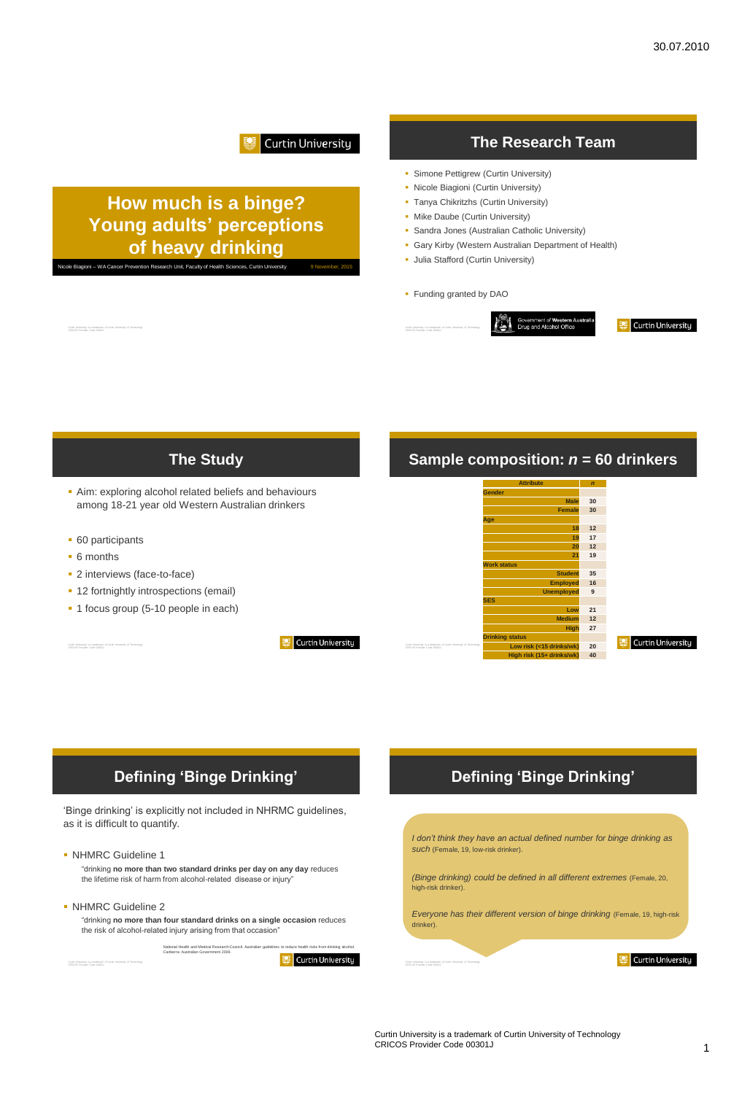#### Curtin University

Curtin University

## **How much is a binge? Young adults' perceptions of heavy drinking**

ni – WA Cancer Prevention Research Unit, Faculty of Health Sciences, Curtin U

Curtin University is a trademark of Curtin University of Technology CRICOS Provider Code 00301J

#### **The Research Team**

- **Simone Pettigrew (Curtin University)**
- Nicole Biagioni (Curtin University)
- **Tanya Chikritzhs (Curtin University)**
- **Mike Daube (Curtin University)**
- Sandra Jones (Australian Catholic University)
- Gary Kirby (Western Australian Department of Health)
- **Julia Stafford (Curtin University)**
- Funding granted by DAO



# **The Study**

- Aim: exploring alcohol related beliefs and behaviours among 18-21 year old Western Australian drinkers
- **60 participants**
- 6 months
- 2 interviews (face-to-face)
- **12 fortnightly introspections (email)**
- 1 focus group (5-10 people in each)

#### **Sample composition:** *n* **= 60 drinkers**



#### Curtin University

## **Defining 'Binge Drinking'**

'Binge drinking' is explicitly not included in NHRMC guidelines, as it is difficult to quantify.

• NHMRC Guideline 1

"drinking **no more than two standard drinks per day on any day** reduces the lifetime risk of harm from alcohol-related disease or injury"

• NHMRC Guideline 2

"drinking **no more than four standard drinks on a single occasion** reduces the risk of alcohol-related injury arising from that occasion"

> National Health and Medical Research Council. Australian guidelines to reduce health risks from drinking alcohol. Canberra: Australian Government 2009. Curtin University

## **Defining 'Binge Drinking'**

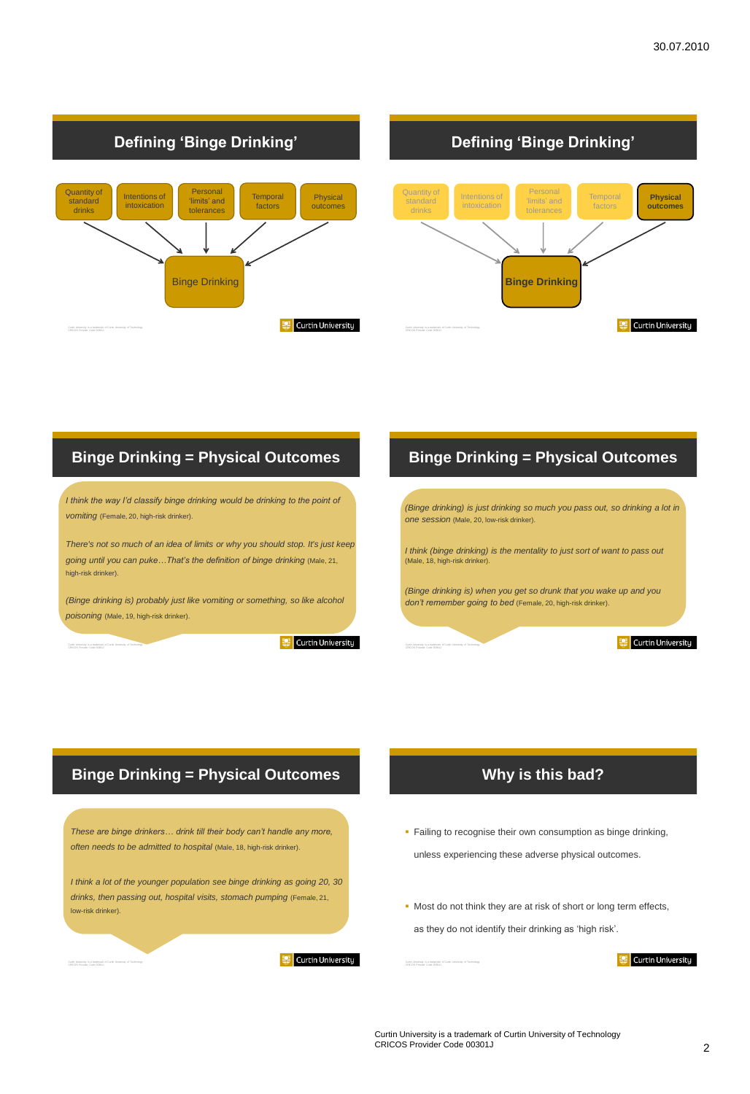

#### **Defining 'Binge Drinking'**



#### **Binge Drinking = Physical Outcomes**

*I think the way I'd classify binge drinking would be drinking to the point of vomiting* (Female, 20, high-risk drinker).

*There's not so much of an idea of limits or why you should stop. It's just keep going until you can puke…That's the definition of binge drinking* (Male, 21, high-risk drinker).

*(Binge drinking is) probably just like vomiting or something, so like alcohol poisoning* (Male, 19, high-risk drinker).

Curtin University

#### **Binge Drinking = Physical Outcomes**

*(Binge drinking) is just drinking so much you pass out, so drinking a lot in one session* (Male, 20, low-risk drinker).

*I think (binge drinking) is the mentality to just sort of want to pass out*  (Male, 18, high-risk drinker).

*(Binge drinking is) when you get so drunk that you wake up and you don't remember going to bed* (Female, 20, high-risk drinker).

#### Curtin University

#### **Binge Drinking = Physical Outcomes**

*These are binge drinkers… drink till their body can't handle any more, often needs to be admitted to hospital* (Male, 18, high-risk drinker).

*I think a lot of the younger population see binge drinking as going 20, 30 drinks, then passing out, hospital visits, stomach pumping* (Female, 21, low-risk drinker).



## **Why is this bad?**

- **Failing to recognise their own consumption as binge drinking,** unless experiencing these adverse physical outcomes.
- $\blacksquare$  Most do not think they are at risk of short or long term effects, as they do not identify their drinking as 'high risk'.

Curtin University is a trademark of Curtin University of Technology CRICOS Provider Code 00301J

Curtin University is a trademark of Curtin University of Technology CRICOS Provider Code 00301J

Curtin University

Curtin University is a trademark of Curtin University of Technology CRICOS Provider Code 00301J